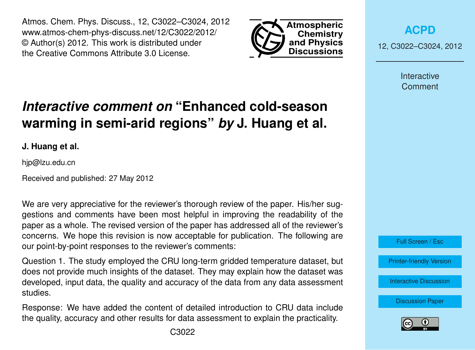Atmos. Chem. Phys. Discuss., 12, C3022–C3024, 2012 www.atmos-chem-phys-discuss.net/12/C3022/2012/ © Author(s) 2012. This work is distributed under the Creative Commons Attribute 3.0 License.



**[ACPD](http://www.atmos-chem-phys-discuss.net)**

12, C3022–C3024, 2012

Interactive Comment

## *Interactive comment on* **"Enhanced cold-season warming in semi-arid regions"** *by* **J. Huang et al.**

**J. Huang et al.**

hjp@lzu.edu.cn

Received and published: 27 May 2012

We are very appreciative for the reviewer's thorough review of the paper. His/her suggestions and comments have been most helpful in improving the readability of the paper as a whole. The revised version of the paper has addressed all of the reviewer's concerns. We hope this revision is now acceptable for publication. The following are our point-by-point responses to the reviewer's comments:

Question 1. The study employed the CRU long-term gridded temperature dataset, but does not provide much insights of the dataset. They may explain how the dataset was developed, input data, the quality and accuracy of the data from any data assessment studies.

Response: We have added the content of detailed introduction to CRU data include the quality, accuracy and other results for data assessment to explain the practicality.

Full Screen / Esc [Printer-friendly Version](http://www.atmos-chem-phys-discuss.net/12/C3022/2012/acpd-12-C3022-2012-print.pdf) [Interactive Discussion](http://www.atmos-chem-phys-discuss.net/12/4627/2012/acpd-12-4627-2012-discussion.html)

[Discussion Paper](http://www.atmos-chem-phys-discuss.net/12/4627/2012/acpd-12-4627-2012.pdf)

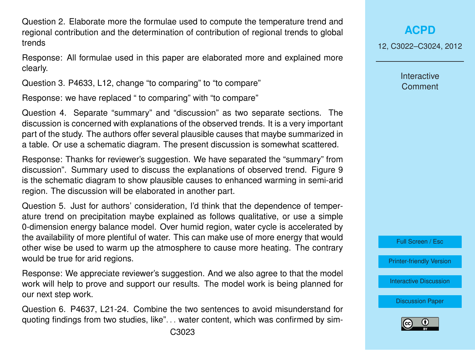Question 2. Elaborate more the formulae used to compute the temperature trend and regional contribution and the determination of contribution of regional trends to global trends

Response: All formulae used in this paper are elaborated more and explained more clearly.

Question 3. P4633, L12, change "to comparing" to "to compare"

Response: we have replaced " to comparing" with "to compare"

Question 4. Separate "summary" and "discussion" as two separate sections. The discussion is concerned with explanations of the observed trends. It is a very important part of the study. The authors offer several plausible causes that maybe summarized in a table. Or use a schematic diagram. The present discussion is somewhat scattered.

Response: Thanks for reviewer's suggestion. We have separated the "summary" from discussion". Summary used to discuss the explanations of observed trend. Figure 9 is the schematic diagram to show plausible causes to enhanced warming in semi-arid region. The discussion will be elaborated in another part.

Question 5. Just for authors' consideration, I'd think that the dependence of temperature trend on precipitation maybe explained as follows qualitative, or use a simple 0-dimension energy balance model. Over humid region, water cycle is accelerated by the availability of more plentiful of water. This can make use of more energy that would other wise be used to warm up the atmosphere to cause more heating. The contrary would be true for arid regions.

Response: We appreciate reviewer's suggestion. And we also agree to that the model work will help to prove and support our results. The model work is being planned for our next step work.

Question 6. P4637, L21-24. Combine the two sentences to avoid misunderstand for quoting findings from two studies, like". . . water content, which was confirmed by sim12, C3022–C3024, 2012

Interactive **Comment** 



[Printer-friendly Version](http://www.atmos-chem-phys-discuss.net/12/C3022/2012/acpd-12-C3022-2012-print.pdf)

[Interactive Discussion](http://www.atmos-chem-phys-discuss.net/12/4627/2012/acpd-12-4627-2012-discussion.html)

[Discussion Paper](http://www.atmos-chem-phys-discuss.net/12/4627/2012/acpd-12-4627-2012.pdf)